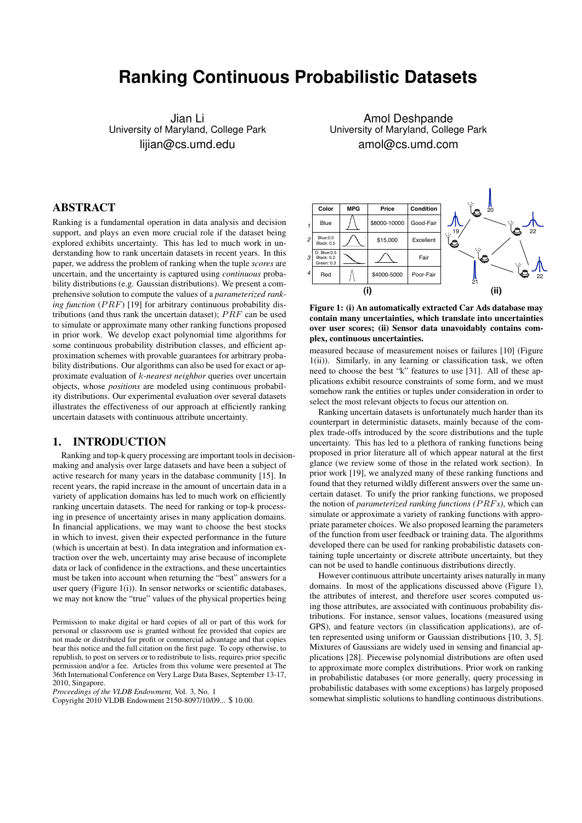# **Ranking Continuous Probabilistic Datasets**

Jian Li University of Maryland, College Park lijian@cs.umd.edu

Amol Deshpande University of Maryland, College Park amol@cs.umd.com

# ABSTRACT

Ranking is a fundamental operation in data analysis and decision support, and plays an even more crucial role if the dataset being explored exhibits uncertainty. This has led to much work in understanding how to rank uncertain datasets in recent years. In this paper, we address the problem of ranking when the tuple *scores* are uncertain, and the uncertainty is captured using *continuous* probability distributions (e.g. Gaussian distributions). We present a comprehensive solution to compute the values of a *parameterized ranking function* ( $PRF$ ) [19] for arbitrary continuous probability distributions (and thus rank the uncertain dataset);  $PRF$  can be used to simulate or approximate many other ranking functions proposed in prior work. We develop exact polynomial time algorithms for some continuous probability distribution classes, and efficient approximation schemes with provable guarantees for arbitrary probability distributions. Our algorithms can also be used for exact or approximate evaluation of k*-nearest neighbor* queries over uncertain objects, whose *positions* are modeled using continuous probability distributions. Our experimental evaluation over several datasets illustrates the effectiveness of our approach at efficiently ranking uncertain datasets with continuous attribute uncertainty.

## 1. INTRODUCTION

Ranking and top-k query processing are important tools in decisionmaking and analysis over large datasets and have been a subject of active research for many years in the database community [15]. In recent years, the rapid increase in the amount of uncertain data in a variety of application domains has led to much work on efficiently ranking uncertain datasets. The need for ranking or top-k processing in presence of uncertainty arises in many application domains. In financial applications, we may want to choose the best stocks in which to invest, given their expected performance in the future (which is uncertain at best). In data integration and information extraction over the web, uncertainty may arise because of incomplete data or lack of confidence in the extractions, and these uncertainties must be taken into account when returning the "best" answers for a user query (Figure 1(i)). In sensor networks or scientific databases, we may not know the "true" values of the physical properties being

*Proceedings of the VLDB Endowment,* Vol. 3, No. 1





measured because of measurement noises or failures [10] (Figure 1(ii)). Similarly, in any learning or classification task, we often need to choose the best "k" features to use [31]. All of these applications exhibit resource constraints of some form, and we must somehow rank the entities or tuples under consideration in order to select the most relevant objects to focus our attention on.

Ranking uncertain datasets is unfortunately much harder than its counterpart in deterministic datasets, mainly because of the complex trade-offs introduced by the score distributions and the tuple uncertainty. This has led to a plethora of ranking functions being proposed in prior literature all of which appear natural at the first glance (we review some of those in the related work section). In prior work [19], we analyzed many of these ranking functions and found that they returned wildly different answers over the same uncertain dataset. To unify the prior ranking functions, we proposed the notion of *parameterized ranking functions (*P RF*s)*, which can simulate or approximate a variety of ranking functions with appropriate parameter choices. We also proposed learning the parameters of the function from user feedback or training data. The algorithms developed there can be used for ranking probabilistic datasets containing tuple uncertainty or discrete attribute uncertainty, but they can not be used to handle continuous distributions directly.

However continuous attribute uncertainty arises naturally in many domains. In most of the applications discussed above (Figure 1), the attributes of interest, and therefore user scores computed using those attributes, are associated with continuous probability distributions. For instance, sensor values, locations (measured using GPS), and feature vectors (in classification applications), are often represented using uniform or Gaussian distributions [10, 3, 5]. Mixtures of Gaussians are widely used in sensing and financial applications [28]. Piecewise polynomial distributions are often used to approximate more complex distributions. Prior work on ranking in probabilistic databases (or more generally, query processing in probabilistic databases with some exceptions) has largely proposed somewhat simplistic solutions to handling continuous distributions.

Permission to make digital or hard copies of all or part of this work for personal or classroom use is granted without fee provided that copies are not made or distributed for profit or commercial advantage and that copies bear this notice and the full citation on the first page. To copy otherwise, to republish, to post on servers or to redistribute to lists, requires prior specific permission and/or a fee. Articles from this volume were presented at The 36th International Conference on Very Large Data Bases, September 13-17, 2010, Singapore.

Copyright 2010 VLDB Endowment 2150-8097/10/09... \$ 10.00.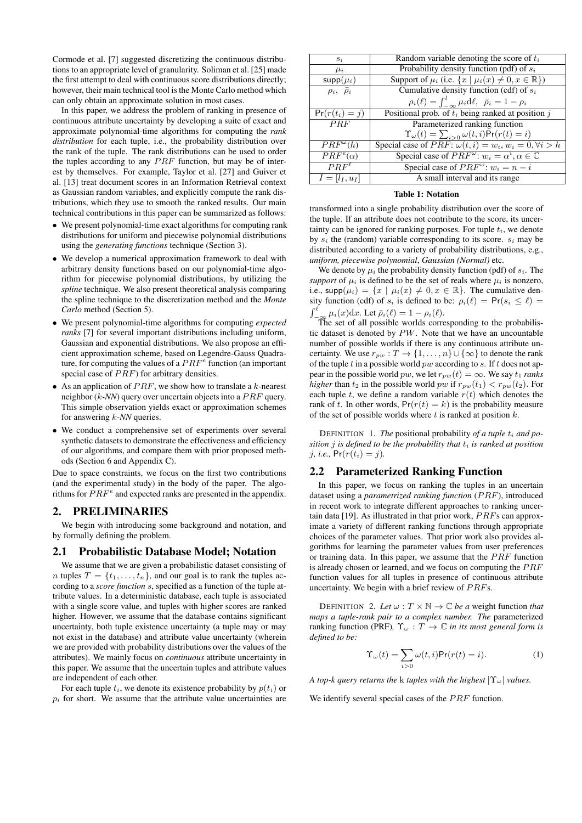Cormode et al. [7] suggested discretizing the continuous distributions to an appropriate level of granularity. Soliman et al. [25] made the first attempt to deal with continuous score distributions directly; however, their main technical tool is the Monte Carlo method which can only obtain an approximate solution in most cases.

In this paper, we address the problem of ranking in presence of continuous attribute uncertainty by developing a suite of exact and approximate polynomial-time algorithms for computing the *rank distribution* for each tuple, i.e., the probability distribution over the rank of the tuple. The rank distributions can be used to order the tuples according to any  $PRF$  function, but may be of interest by themselves. For example, Taylor et al. [27] and Guiver et al. [13] treat document scores in an Information Retrieval context as Gaussian random variables, and explicitly compute the rank distributions, which they use to smooth the ranked results. Our main technical contributions in this paper can be summarized as follows:

- We present polynomial-time exact algorithms for computing rank distributions for uniform and piecewise polynomial distributions using the *generating functions* technique (Section 3).
- We develop a numerical approximation framework to deal with arbitrary density functions based on our polynomial-time algorithm for piecewise polynomial distributions, by utilizing the *spline* technique. We also present theoretical analysis comparing the spline technique to the discretization method and the *Monte Carlo* method (Section 5).
- We present polynomial-time algorithms for computing *expected ranks* [7] for several important distributions including uniform, Gaussian and exponential distributions. We also propose an efficient approximation scheme, based on Legendre-Gauss Quadrature, for computing the values of a  $PRF^e$  function (an important special case of  $PRF$ ) for arbitrary densities.
- As an application of  $PRF$ , we show how to translate a k-nearest neighbor  $(k$ -NN) query over uncertain objects into a  $PRF$  query. This simple observation yields exact or approximation schemes for answering k*-NN* queries.
- We conduct a comprehensive set of experiments over several synthetic datasets to demonstrate the effectiveness and efficiency of our algorithms, and compare them with prior proposed methods (Section 6 and Appendix C).

Due to space constraints, we focus on the first two contributions (and the experimental study) in the body of the paper. The algorithms for  $\overline{P}RF^e$  and expected ranks are presented in the appendix.

# 2. PRELIMINARIES

We begin with introducing some background and notation, and by formally defining the problem.

# 2.1 Probabilistic Database Model; Notation

We assume that we are given a probabilistic dataset consisting of n tuples  $T = \{t_1, \ldots, t_n\}$ , and our goal is to rank the tuples according to a *score function* s, specified as a function of the tuple attribute values. In a deterministic database, each tuple is associated with a single score value, and tuples with higher scores are ranked higher. However, we assume that the database contains significant uncertainty, both tuple existence uncertainty (a tuple may or may not exist in the database) and attribute value uncertainty (wherein we are provided with probability distributions over the values of the attributes). We mainly focus on *continuous* attribute uncertainty in this paper. We assume that the uncertain tuples and attribute values are independent of each other.

For each tuple  $t_i$ , we denote its existence probability by  $p(t_i)$  or  $p_i$  for short. We assume that the attribute value uncertainties are

| Random variable denoting the score of $t_i$                                     |
|---------------------------------------------------------------------------------|
| Probability density function (pdf) of $s_i$                                     |
| Support of $\mu_i$ (i.e. $\{x \mid \mu_i(x) \neq 0, x \in \mathbb{R}\}\$ )      |
| Cumulative density function (cdf) of $s_i$                                      |
| $\rho_i(\ell) = \int_{-\infty}^l \mu_i d\ell, \ \ \bar{\rho}_i = 1 - \rho_i$    |
| Positional prob. of $t_i$ being ranked at position j                            |
| Parameterized ranking function                                                  |
| $\Upsilon_{\omega}(t) = \sum_{i>0} \omega(t,i) \Pr(r(t) = i)$                   |
| Special case of <i>PRF</i> : $\omega(t, i) = w_i$ , $w_i = 0$ , $\forall i > h$ |
| Special case of $PRF^{\omega}$ : $w_i = \alpha^i, \alpha \in \mathbb{C}$        |
| Special case of $PRF^{\omega}$ : $w_i = n - i$                                  |
| A small interval and its range                                                  |
|                                                                                 |

#### Table 1: Notation

transformed into a single probability distribution over the score of the tuple. If an attribute does not contribute to the score, its uncertainty can be ignored for ranking purposes. For tuple  $t_i$ , we denote by  $s_i$  the (random) variable corresponding to its score.  $s_i$  may be distributed according to a variety of probability distributions, e.g., *uniform, piecewise polynomial*, *Gaussian (Normal)* etc.

We denote by  $\mu_i$  the probability density function (pdf) of  $s_i$ . The *support* of  $\mu_i$  is defined to be the set of reals where  $\mu_i$  is nonzero, i.e.,  $\text{supp}(\mu_i) = \{x \mid \mu_i(x) \neq 0, x \in \mathbb{R}\}.$  The cumulative density function (cdf) of  $s_i$  is defined to be:  $\rho_i(\ell) = Pr(s_i \leq \ell)$  $\int_{-\infty}^{\ell} \mu_i(x) dx$ . Let  $\bar{\rho}_i(\ell) = 1 - \rho_i(\ell)$ .

The set of all possible worlds corresponding to the probabilistic dataset is denoted by  $PW$ . Note that we have an uncountable number of possible worlds if there is any continuous attribute uncertainty. We use  $r_{pw}: T \to \{1, \ldots, n\} \cup \{\infty\}$  to denote the rank of the tuple  $t$  in a possible world  $pw$  according to  $s$ . If  $t$  does not appear in the possible world *pw*, we let  $r_{pw}(t) = \infty$ . We say  $t_1$  *ranks higher* than  $t_2$  in the possible world pw if  $r_{pw}(t_1) < r_{pw}(t_2)$ . For each tuple t, we define a random variable  $r(t)$  which denotes the rank of t. In other words,  $Pr(r(t) = k)$  is the probability measure of the set of possible worlds where  $t$  is ranked at position  $k$ .

DEFINITION 1. The positional probability of a tuple  $t_i$  and po*sition j is defined to be the probability that*  $t_i$  *is ranked at position j*, *i.e.*,  $Pr(r(t_i) = j)$ .

# 2.2 Parameterized Ranking Function

In this paper, we focus on ranking the tuples in an uncertain dataset using a *parametrized ranking function* (PRF), introduced in recent work to integrate different approaches to ranking uncertain data [19]. As illustrated in that prior work,  $PRFs$  can approximate a variety of different ranking functions through appropriate choices of the parameter values. That prior work also provides algorithms for learning the parameter values from user preferences or training data. In this paper, we assume that the  $PRF$  function is already chosen or learned, and we focus on computing the  $PRF$ function values for all tuples in presence of continuous attribute uncertainty. We begin with a brief review of  $PRFs$ .

DEFINITION 2. Let  $\omega : T \times \mathbb{N} \to \mathbb{C}$  be a weight function *that maps a tuple-rank pair to a complex number. The* parameterized ranking function (PRF),  $\Upsilon_{\omega}: T \to \mathbb{C}$  *in its most general form is defined to be:*

$$
\Upsilon_{\omega}(t) = \sum_{i>0} \omega(t, i) \Pr(r(t) = i).
$$
 (1)

*A top-k query returns the* k *tuples with the highest*  $|\Upsilon_{\omega}|$  *values.* 

We identify several special cases of the  $PRF$  function.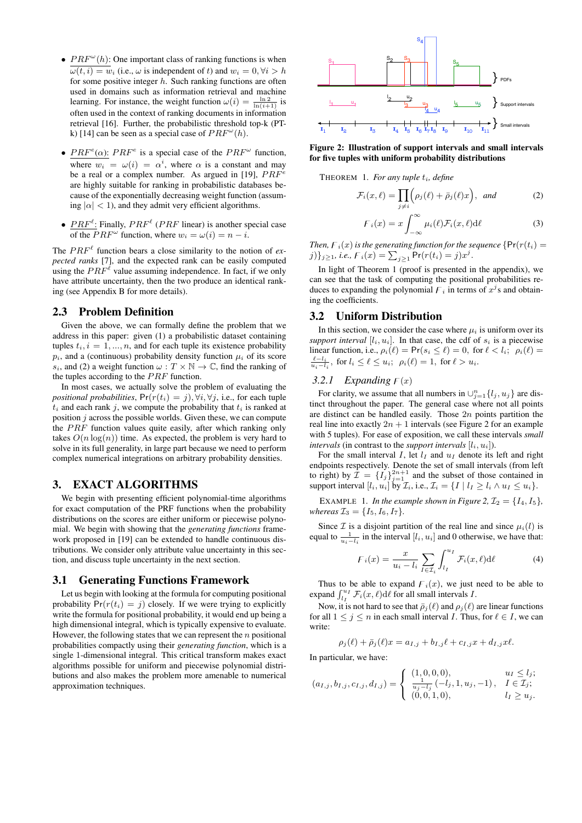- $PRF^{\omega}(h)$ : One important class of ranking functions is when  $\overline{\omega(t, i)} = w_i$  (i.e.,  $\omega$  is independent of t) and  $w_i = 0, \forall i > h$ for some positive integer  $h$ . Such ranking functions are often used in domains such as information retrieval and machine learning. For instance, the weight function  $\omega(i) = \frac{\ln 2}{\ln (i+1)}$  is often used in the context of ranking documents in information retrieval [16]. Further, the probabilistic threshold top-k (PTk) [14] can be seen as a special case of  $PRF^{\omega}(h)$ .
- $PRF<sup>e</sup>(\alpha)$ :  $PRF<sup>e</sup>$  is a special case of the  $PRF<sup>\omega</sup>$  function, where  $w_i = \omega(i) = \alpha^i$ , where  $\alpha$  is a constant and may be a real or a complex number. As argued in [19],  $PRF^e$ are highly suitable for ranking in probabilistic databases because of the exponentially decreasing weight function (assuming  $|\alpha| < 1$ , and they admit very efficient algorithms.
- $PRF^{\ell}$ : Finally,  $PRF^{\ell}$  ( $PRF$  linear) is another special case of the  $PRF^{\omega}$  function, where  $w_i = \omega(i) = n - i$ .

The  $PRF^{\ell}$  function bears a close similarity to the notion of *expected ranks* [7], and the expected rank can be easily computed using the  $PRF^{\ell}$  value assuming independence. In fact, if we only have attribute uncertainty, then the two produce an identical ranking (see Appendix B for more details).

#### 2.3 Problem Definition

Given the above, we can formally define the problem that we address in this paper: given (1) a probabilistic dataset containing tuples  $t_i$ ,  $i = 1, ..., n$ , and for each tuple its existence probability  $p_i$ , and a (continuous) probability density function  $\mu_i$  of its score s<sub>i</sub>, and (2) a weight function  $\omega : T \times \mathbb{N} \to \mathbb{C}$ , find the ranking of the tuples according to the  $PRF$  function.

In most cases, we actually solve the problem of evaluating the *positional probabilities*,  $Pr(r(t_i) = j)$ ,  $\forall i$ ,  $\forall j$ , i.e., for each tuple  $t_i$  and each rank j, we compute the probability that  $t_i$  is ranked at position  $j$  across the possible worlds. Given these, we can compute the  $PRF$  function values quite easily, after which ranking only takes  $O(n \log(n))$  time. As expected, the problem is very hard to solve in its full generality, in large part because we need to perform complex numerical integrations on arbitrary probability densities.

#### 3. EXACT ALGORITHMS

We begin with presenting efficient polynomial-time algorithms for exact computation of the PRF functions when the probability distributions on the scores are either uniform or piecewise polynomial. We begin with showing that the *generating functions* framework proposed in [19] can be extended to handle continuous distributions. We consider only attribute value uncertainty in this section, and discuss tuple uncertainty in the next section.

#### 3.1 Generating Functions Framework

Let us begin with looking at the formula for computing positional probability  $Pr(r(t_i) = j)$  closely. If we were trying to explicitly write the formula for positional probability, it would end up being a high dimensional integral, which is typically expensive to evaluate. However, the following states that we can represent the  $n$  positional probabilities compactly using their *generating function*, which is a single 1-dimensional integral. This critical transform makes exact algorithms possible for uniform and piecewise polynomial distributions and also makes the problem more amenable to numerical approximation techniques.



Figure 2: Illustration of support intervals and small intervals for five tuples with uniform probability distributions

THEOREM 1. For any tuple  $t_i$ , define

$$
\mathcal{F}_i(x,\ell) = \prod_{j \neq i} \left( \rho_j(\ell) + \bar{\rho}_j(\ell)x \right), \text{ and } (2)
$$

$$
F_i(x) = x \int_{-\infty}^{\infty} \mu_i(\ell) \mathcal{F}_i(x,\ell) d\ell \tag{3}
$$

*Then,*  $\overline{F}_i(x)$  *is the generating function for the sequence*  $\{Pr(r(t_i) =$  $j)$ }<sub>j≥1</sub>, *i.e.*,  $F_i(x) = \sum_{j\geq 1} Pr(r(t_i) = j)x^j$ .

In light of Theorem 1 (proof is presented in the appendix), we can see that the task of computing the positional probabilities reduces to expanding the polynomial  $F_i$  in terms of  $x<sup>j</sup>$ s and obtaining the coefficients.

## 3.2 Uniform Distribution

In this section, we consider the case where  $\mu_i$  is uniform over its *support interval*  $[l_i, u_i]$ . In that case, the cdf of  $s_i$  is a piecewise linear function, i.e.,  $\rho_i(\ell) = \Pr(s_i \leq \ell) = 0$ , for  $\ell < l_i$ ;  $\rho_i(\ell) =$  $\frac{\ell - l_i}{u_i - l_i}$ , for  $l_i \leq \ell \leq u_i$ ;  $\rho_i(\ell) = 1$ , for  $\ell > u_i$ .

#### 3.2.1 Expanding  $F(x)$

For clarity, we assume that all numbers in  $\bigcup_{j=1}^n \{l_j, u_j\}$  are distinct throughout the paper. The general case where not all points are distinct can be handled easily. Those  $2n$  points partition the real line into exactly  $2n + 1$  intervals (see Figure 2 for an example with 5 tuples). For ease of exposition, we call these intervals *small intervals* (in contrast to the *support intervals*  $[l_i, u_i]$ ).

For the small interval I, let  $l_I$  and  $u_I$  denote its left and right endpoints respectively. Denote the set of small intervals (from left to right) by  $\mathcal{I} = \{I_j\}_{j=1}^{2n+1}$  and the subset of those contained in support interval  $[l_i, u_i]$  by  $\mathcal{I}_i$ , i.e.,  $\mathcal{I}_i = \{I \mid l_I \geq l_i \land u_I \leq u_i\}.$ 

EXAMPLE 1. *In the example shown in Figure 2,*  $\mathcal{I}_2 = \{I_4, I_5\}$ , *whereas*  $\mathcal{I}_3 = \{I_5, I_6, I_7\}.$ 

Since  $\mathcal I$  is a disjoint partition of the real line and since  $\mu_i(l)$  is equal to  $\frac{1}{u_i - l_i}$  in the interval  $[l_i, u_i]$  and 0 otherwise, we have that:

$$
F_i(x) = \frac{x}{u_i - l_i} \sum_{I \in \mathcal{I}_i} \int_{l_I}^{u_I} \mathcal{F}_i(x, \ell) d\ell \tag{4}
$$

Thus to be able to expand  $F_i(x)$ , we just need to be able to expand  $\int_{l_I}^{u_I} \mathcal{F}_i(x,\ell) d\ell$  for all small intervals I.

Now, it is not hard to see that  $\bar{\rho}_i (\ell)$  and  $\rho_i (\ell)$  are linear functions for all  $1 \leq j \leq n$  in each small interval *I*. Thus, for  $\ell \in I$ , we can write:

$$
\rho_j(\ell) + \bar{\rho}_j(\ell)x = a_{I,j} + b_{I,j}\ell + c_{I,j}x + d_{I,j}x\ell.
$$

In particular, we have:

$$
(a_{I,j}, b_{I,j}, c_{I,j}, d_{I,j}) = \begin{cases} (1,0,0,0), & u_I \leq l_j; \\ \frac{1}{u_j - l_j} (-l_j, 1, u_j, -1), & I \in \mathcal{I}_j; \\ (0,0,1,0), & l_I \geq u_j. \end{cases}
$$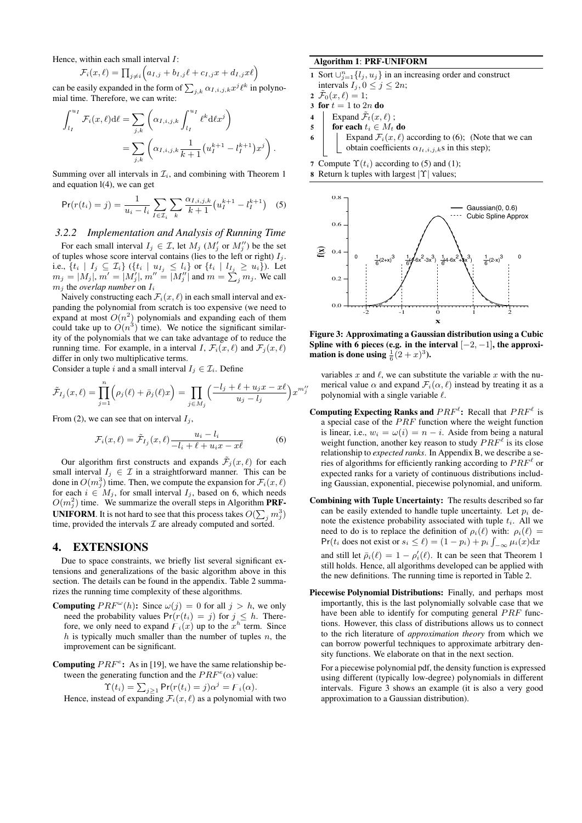Hence, within each small interval  $I$ :

$$
\mathcal{F}_i(x,\ell) = \prod_{j \neq i} \left( a_{I,j} + b_{I,j}\ell + c_{I,j}x + d_{I,j}x\ell \right)
$$

can be easily expanded in the form of  $\sum_{j,k} \alpha_{I,i,j,k} x^j \ell^k$  in polynomial time. Therefore, we can write:

$$
\int_{l_I}^{u_I} \mathcal{F}_i(x,\ell) d\ell = \sum_{j,k} \left( \alpha_{I,i,j,k} \int_{l_I}^{u_I} \ell^k d\ell x^j \right)
$$

$$
= \sum_{j,k} \left( \alpha_{I,i,j,k} \frac{1}{k+1} \left( u_I^{k+1} - l_I^{k+1} \right) x^j \right).
$$

Summing over all intervals in  $\mathcal{I}_i$ , and combining with Theorem 1 and equation l(4), we can get

$$
\Pr(r(t_i) = j) = \frac{1}{u_i - l_i} \sum_{I \in \mathcal{I}_i} \sum_k \frac{\alpha_{I,i,j,k}}{k+1} \left( u_I^{k+1} - l_I^{k+1} \right) \tag{5}
$$

#### *3.2.2 Implementation and Analysis of Running Time*

For each small interval  $I_j \in \mathcal{I}$ , let  $M_j$  ( $M'_j$  or  $M''_j$ ) be the set of tuples whose score interval contains (lies to the left or right)  $I_j$ . i.e.,  $\{t_i \mid I_j \subseteq \mathcal{I}_i\}$   $(\{t_i \mid u_{I_j} \leq l_i\}$  or  $\{t_i \mid l_{I_j} \geq u_i\})$ . Let  $m_j = |M_j|, m' = |M'_j|, m'' = |M''_j|$  and  $m = \sum_j m_j$ . We call  $m_j$  the *overlap number* on  $I_i$ 

Naively constructing each  $\mathcal{F}_i(x, \ell)$  in each small interval and expanding the polynomial from scratch is too expensive (we need to expand at most  $O(n^2)$  polynomials and expanding each of them could take up to  $O(n^3)$  time). We notice the significant similarity of the polynomials that we can take advantage of to reduce the running time. For example, in a interval I,  $\mathcal{F}_i(x, \ell)$  and  $\mathcal{F}_i(x, \ell)$ differ in only two multiplicative terms.

Consider a tuple i and a small interval  $I_j \in \mathcal{I}_i$ . Define

$$
\tilde{\mathcal{F}}_{I_j}(x,\ell) = \prod_{j=1}^n \left(\rho_j(\ell) + \bar{\rho}_j(\ell)x\right) = \prod_{j \in M_j} \left(\frac{-l_j + \ell + u_jx - x\ell}{u_j - l_j}\right)x^{m''_j}
$$

From (2), we can see that on interval  $I_j$ ,

$$
\mathcal{F}_i(x,\ell) = \tilde{\mathcal{F}}_{I_j}(x,\ell) \frac{u_i - l_i}{-l_i + \ell + u_i x - x\ell} \tag{6}
$$

Our algorithm first constructs and expands  $\mathcal{F}_j(x, \ell)$  for each small interval  $I_j \in \mathcal{I}$  in a straightforward manner. This can be done in  $O(m_j^3)$  time. Then, we compute the expansion for  $\mathcal{F}_i(x,\ell)$ for each  $i \in M_j$ , for small interval  $I_j$ , based on 6, which needs  $O(m_j^2)$  time. We summarize the overall steps in Algorithm **PRF**-**UNIFORM**. It is not hard to see that this process takes  $O(\sum_j m_j^3)$ time, provided the intervals  $\mathcal I$  are already computed and sorted.

#### 4. EXTENSIONS

Due to space constraints, we briefly list several significant extensions and generalizations of the basic algorithm above in this section. The details can be found in the appendix. Table 2 summarizes the running time complexity of these algorithms.

- **Computing**  $PRF^{\omega}(h)$ : Since  $\omega(j) = 0$  for all  $j > h$ , we only need the probability values  $Pr(r(t_i) = j)$  for  $j \leq h$ . Therefore, we only need to expand  $\overline{F}_i(x)$  up to the  $x^h$  term. Since  $h$  is typically much smaller than the number of tuples  $n$ , the improvement can be significant.
- Computing  $PRF^e$ : As in [19], we have the same relationship between the generating function and the  $PRF^e(\alpha)$  value:

$$
\Upsilon(t_i) = \sum_{j \geq 1} \Pr(r(t_i) = j)\alpha^j = F_i(\alpha).
$$

Hence, instead of expanding  $\mathcal{F}_i(x, \ell)$  as a polynomial with two

## Algorithm 1: PRF-UNIFORM

1 Sort ∪ $_{j=1}^{n}$ {*l<sub>j</sub>*, *u<sub>j</sub>*} in an increasing order and construct intervals  $I_j$ ,  $0 \le j \le 2n$ ;

2  $\mathcal{F}_0(x, \ell) = 1;$ 

- 3 for  $t = 1$  to  $2n$  do
- 4 Expand  $\tilde{\mathcal{F}}_t(x, \ell)$ ;<br>
for each  $t_i \in M_t$
- for each  $t_i \in M_t$  do
- 6 Expand  $\mathcal{F}_i(x, \ell)$  according to (6); (Note that we can obtain coefficients  $\alpha_{I_t,i,j,k}$ s in this step);
- 7 Compute  $\Upsilon(t_i)$  according to (5) and (1);

**8** Return k tuples with largest 
$$
|\Upsilon|
$$
 values;



Figure 3: Approximating a Gaussian distribution using a Cubic Spline with 6 pieces (e.g. in the interval  $[-2, -1]$ , the approximation is done using  $\frac{1}{6}(2+x)^3$ ).

variables x and  $\ell$ , we can substitute the variable x with the numerical value  $\alpha$  and expand  $\mathcal{F}_i(\alpha, \ell)$  instead by treating it as a polynomial with a single variable  $\ell$ .

- Computing Expecting Ranks and  $PRF^{\ell}$ : Recall that  $PRF^{\ell}$  is a special case of the  $PRF$  function where the weight function is linear, i.e.,  $w_i = \omega(i) = n - i$ . Aside from being a natural weight function, another key reason to study  $PRF^{\ell}$  is its close relationship to *expected ranks*. In Appendix B, we describe a series of algorithms for efficiently ranking according to  $PRF^{\ell}$  or expected ranks for a variety of continuous distributions including Gaussian, exponential, piecewise polynomial, and uniform.
- Combining with Tuple Uncertainty: The results described so far can be easily extended to handle tuple uncertainty. Let  $p_i$  denote the existence probability associated with tuple  $t_i$ . All we need to do is to replace the definition of  $\rho_i(\ell)$  with:  $\rho_i(\ell)$  = Pr( $t_i$  does not exist or  $s_i \le \ell$ ) =  $(1 - p_i) + p_i \int_{-\infty}^{\infty} \mu_i(x) dx$ and still let  $\bar{\rho}_i(\ell) = 1 - \rho'_i(\ell)$ . It can be seen that Theorem 1 still holds. Hence, all algorithms developed can be applied with the new definitions. The running time is reported in Table 2.
- Piecewise Polynomial Distributions: Finally, and perhaps most importantly, this is the last polynomially solvable case that we have been able to identify for computing general  $PRF$  functions. However, this class of distributions allows us to connect to the rich literature of *approximation theory* from which we can borrow powerful techniques to approximate arbitrary density functions. We elaborate on that in the next section.

For a piecewise polynomial pdf, the density function is expressed using different (typically low-degree) polynomials in different intervals. Figure 3 shows an example (it is also a very good approximation to a Gaussian distribution).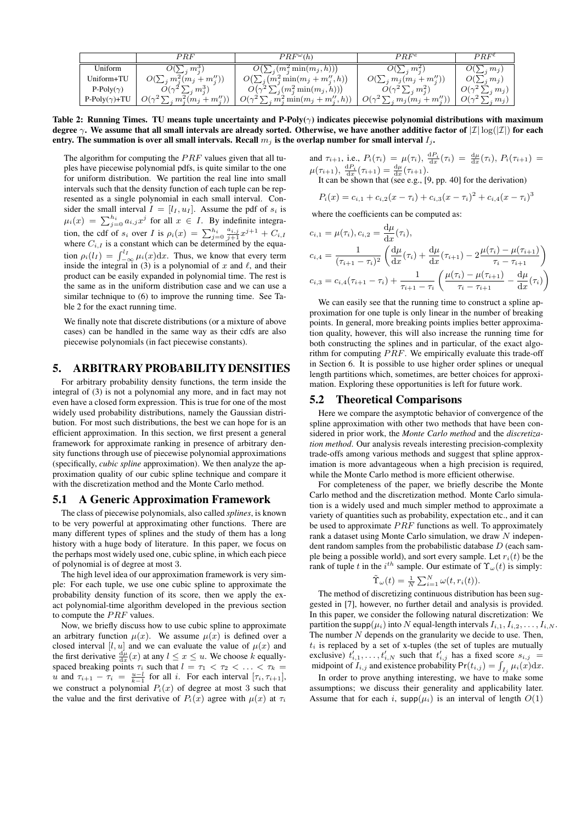|                       | $\mathbb P RF$                                               | $PRF^{\omega}(h)$                                      | $PRF^e$                           | $PRF^\ell$                  |
|-----------------------|--------------------------------------------------------------|--------------------------------------------------------|-----------------------------------|-----------------------------|
| Uniform               | $\cdot$ $m_i^{\circ}$                                        | $(m_j^2 \min(m_j, h)))$                                | $O(\sum_i m_i^2)$                 | $(\sum_j m_j)$              |
| Uniform+TU            | $m_i^2(m_i + m_i'')$                                         | $O(\sum_i (m_i^2 \min(m_j + m_i'', h))$                | $m_i(m_i + m''_i)$                | O(<br>$\langle m_i \rangle$ |
| P-Poly( $\gamma$ )    | $\ldots$ $m_i^3$ )<br>$O(\gamma^2)$                          | $\binom{n}{i}(m_i^2 \min(m_i, h))$                     | $O(\gamma^2 \sum_i m_i^2)$        | $O(\gamma^2)$<br>$(i, m_j)$ |
| P-Poly $(\gamma)$ +TU | $\frac{1}{2}\sum_{j} m_{j}^{2}(m_{j}+m_{j}^{\prime\prime}))$ | $O(\gamma^2)$<br>$\sum_{i} m_i^2 \min(m_j + m''_i, h)$ | $O(\gamma^2)$<br>$m_j(m_j+m''_j)$ | $O(\gamma^2)$<br>$m_i$      |

Table 2: Running Times. TU means tuple uncertainty and P-Poly( $\gamma$ ) indicates piecewise polynomial distributions with maximum degree  $\gamma$ . We assume that all small intervals are already sorted. Otherwise, we have another additive factor of  $|\mathcal{I}| \log(|\mathcal{I}|)$  for each entry. The summation is over all small intervals. Recall  $m<sub>i</sub>$  is the overlap number for small interval  $I<sub>i</sub>$ .

The algorithm for computing the  $PRF$  values given that all tuples have piecewise polynomial pdfs, is quite similar to the one for uniform distribution. We partition the real line into small intervals such that the density function of each tuple can be represented as a single polynomial in each small interval. Consider the small interval  $I = [l_I, u_I]$ . Assume the pdf of  $s_i$  is  $\mu_i(x) = \sum_{j=0}^{h_i} a_{i,j} x^j$  for all  $x \in I$ . By indefinite integration, the cdf of  $s_i$  over I is  $\rho_i(x) = \sum_{j=0}^{h_i} \frac{a_{i,j}}{j+1} x^{j+1} + C_{i,1}$ where  $C_{i,I}$  is a constant which can be determined by the equation  $\rho_i(l_I) = \int_{-\infty}^{l_I} \mu_i(x) dx$ . Thus, we know that every term inside the integral in (3) is a polynomial of x and  $\ell$ , and their product can be easily expanded in polynomial time. The rest is the same as in the uniform distribution case and we can use a similar technique to (6) to improve the running time. See Table 2 for the exact running time.

We finally note that discrete distributions (or a mixture of above cases) can be handled in the same way as their cdfs are also piecewise polynomials (in fact piecewise constants).

# 5. ARBITRARY PROBABILITY DENSITIES

For arbitrary probability density functions, the term inside the integral of (3) is not a polynomial any more, and in fact may not even have a closed form expression. This is true for one of the most widely used probability distributions, namely the Gaussian distribution. For most such distributions, the best we can hope for is an efficient approximation. In this section, we first present a general framework for approximate ranking in presence of arbitrary density functions through use of piecewise polynomial approximations (specifically, *cubic spline* approximation). We then analyze the approximation quality of our cubic spline technique and compare it with the discretization method and the Monte Carlo method.

#### 5.1 A Generic Approximation Framework

The class of piecewise polynomials, also called *splines*, is known to be very powerful at approximating other functions. There are many different types of splines and the study of them has a long history with a huge body of literature. In this paper, we focus on the perhaps most widely used one, cubic spline, in which each piece of polynomial is of degree at most 3.

The high level idea of our approximation framework is very simple: For each tuple, we use one cubic spline to approximate the probability density function of its score, then we apply the exact polynomial-time algorithm developed in the previous section to compute the  $PRF$  values.

Now, we briefly discuss how to use cubic spline to approximate an arbitrary function  $\mu(x)$ . We assume  $\mu(x)$  is defined over a closed interval [l, u] and we can evaluate the value of  $\mu(x)$  and the first derivative  $\frac{d\mu}{dx}(x)$  at any  $l \leq x \leq u$ . We choose k equallyspaced breaking points  $\tau_i$  such that  $l = \tau_1 < \tau_2 < \ldots < \tau_k =$ u and  $\tau_{i+1} - \tau_i = \frac{u-l}{k-1}$  for all i. For each interval  $[\tau_i, \tau_{i+1}],$ we construct a polynomial  $P_i(x)$  of degree at most 3 such that the value and the first derivative of  $P_i(x)$  agree with  $\mu(x)$  at  $\tau_i$ 

and  $\tau_{i+1}$ , i.e.,  $P_i(\tau_i) = \mu(\tau_i)$ ,  $\frac{dP_i}{dx}(\tau_i) = \frac{d\mu}{dx}(\tau_i)$ ,  $P_i(\tau_{i+1}) =$  $\mu(\tau_{i+1}), \frac{dP_i}{dx}(\tau_{i+1}) = \frac{d\mu}{dx}(\tau_{i+1}).$ 

It can be shown that (see e.g., [9, pp. 40] for the derivation)

$$
P_i(x) = c_{i,1} + c_{i,2}(x - \tau_i) + c_{i,3}(x - \tau_i)^2 + c_{i,4}(x - \tau_i)^3
$$

where the coefficients can be computed as:

$$
c_{i,1} = \mu(\tau_i), c_{i,2} = \frac{d\mu}{dx}(\tau_i),
$$
  
\n
$$
c_{i,4} = \frac{1}{(\tau_{i+1} - \tau_i)^2} \left( \frac{d\mu}{dx}(\tau_i) + \frac{d\mu}{dx}(\tau_{i+1}) - 2 \frac{\mu(\tau_i) - \mu(\tau_{i+1})}{\tau_i - \tau_{i+1}} \right)
$$
  
\n
$$
c_{i,3} = c_{i,4}(\tau_{i+1} - \tau_i) + \frac{1}{\tau_{i+1} - \tau_i} \left( \frac{\mu(\tau_i) - \mu(\tau_{i+1})}{\tau_i - \tau_{i+1}} - \frac{d\mu}{dx}(\tau_i) \right)
$$

We can easily see that the running time to construct a spline approximation for one tuple is only linear in the number of breaking points. In general, more breaking points implies better approximation quality, however, this will also increase the running time for both constructing the splines and in particular, of the exact algorithm for computing  $PRF$ . We empirically evaluate this trade-off in Section 6. It is possible to use higher order splines or unequal length partitions which, sometimes, are better choices for approximation. Exploring these opportunities is left for future work.

#### 5.2 Theoretical Comparisons

Here we compare the asymptotic behavior of convergence of the spline approximation with other two methods that have been considered in prior work, the *Monte Carlo method* and the *discretization method*. Our analysis reveals interesting precision-complexity trade-offs among various methods and suggest that spline approximation is more advantageous when a high precision is required, while the Monte Carlo method is more efficient otherwise.

For completeness of the paper, we briefly describe the Monte Carlo method and the discretization method. Monte Carlo simulation is a widely used and much simpler method to approximate a variety of quantities such as probability, expectation etc., and it can be used to approximate  $PRF$  functions as well. To approximately rank a dataset using Monte Carlo simulation, we draw N independent random samples from the probabilistic database D (each sample being a possible world), and sort every sample. Let  $r_i(t)$  be the rank of tuple t in the  $i^{th}$  sample. Our estimate of  $\Upsilon_{\omega}(t)$  is simply:

$$
\tilde{\Upsilon}_{\omega}(t) = \frac{1}{N} \sum_{i=1}^{N} \omega(t, r_i(t)).
$$

The method of discretizing continuous distribution has been suggested in [7], however, no further detail and analysis is provided. In this paper, we consider the following natural discretization: We partition the supp $(\mu_i)$  into N equal-length intervals  $I_{i,1}, I_{i,2}, \ldots, I_{i,N}$ . The number  $N$  depends on the granularity we decide to use. Then,  $t_i$  is replaced by a set of x-tuples (the set of tuples are mutually exclusive)  $t'_{i,1}, \ldots, t'_{i,N}$  such that  $t'_{i,j}$  has a fixed score  $s_{i,j}$ midpoint of  $I_{i,j}$  and existence probability  $Pr(t_{i,j}) = \int_{I_j} \mu_i(x) dx$ .

In order to prove anything interesting, we have to make some assumptions; we discuss their generality and applicability later. Assume that for each i,  $\text{supp}(\mu_i)$  is an interval of length  $O(1)$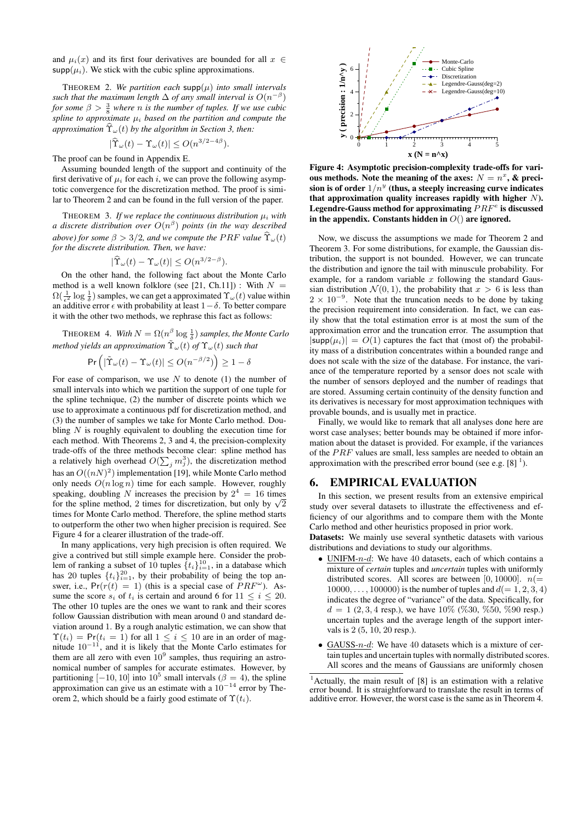and  $\mu_i(x)$  and its first four derivatives are bounded for all  $x \in$  $\mathsf{supp}(\mu_i)$ . We stick with the cubic spline approximations.

THEOREM 2. We partition each  $\text{supp}(\mu)$  into small intervals such that the maximum length  $\Delta$  of any small interval is  $O(n^{-\beta})$ *for some*  $\beta > \frac{3}{8}$  *where n is the number of tuples. If we use cubic spline to approximate*  $\mu_i$  *based on the partition and compute the approximation*  $\widehat{T}_{\omega}(t)$  *by the algorithm in Section 3, then:* 

$$
|\widehat{\Upsilon}_{\omega}(t) - \Upsilon_{\omega}(t)| \le O(n^{3/2 - 4\beta}).
$$

The proof can be found in Appendix E.

Assuming bounded length of the support and continuity of the first derivative of  $\mu_i$  for each i, we can prove the following asymptotic convergence for the discretization method. The proof is similar to Theorem 2 and can be found in the full version of the paper.

THEOREM 3. If we replace the continuous distribution  $\mu_i$  with *a discrete distribution over* O(n β ) *points (in the way described above) for some*  $\beta > 3/2$ *, and we compute the PRF value*  $\hat{\Upsilon}_{\omega}(t)$ *for the discrete distribution. Then, we have:*

$$
|\widehat{\Upsilon}_{\omega}(t) - \Upsilon_{\omega}(t)| \le O(n^{3/2 - \beta}).
$$

On the other hand, the following fact about the Monte Carlo method is a well known folklore (see [21, Ch.11]) : With  $N =$  $\Omega(\frac{1}{\epsilon^2} \log \frac{1}{\delta})$  samples, we can get a approximated  $\Upsilon_{\omega}(t)$  value within and  $\frac{1}{\epsilon^2}$  is  $\frac{1}{\delta}$ , all probability at least  $1-\delta$ . To better compare it with the other two methods, we rephrase this fact as follows:

THEOREM 4. *With*  $N = \Omega(n^{\beta} \log \frac{1}{\delta})$  samples, the Monte Carlo *method yields an approximation*  $\tilde{\Upsilon}_{\omega}(t)$  *of*  $\Upsilon_{\omega}(t)$  *such that* 

$$
\Pr\left(|\tilde{\Upsilon}_{\omega}(t) - \Upsilon_{\omega}(t)| \le O(n^{-\beta/2})\right) \ge 1 - \delta
$$

For ease of comparison, we use  $N$  to denote (1) the number of small intervals into which we partition the support of one tuple for the spline technique, (2) the number of discrete points which we use to approximate a continuous pdf for discretization method, and (3) the number of samples we take for Monte Carlo method. Doubling  $N$  is roughly equivalent to doubling the execution time for each method. With Theorems 2, 3 and 4, the precision-complexity trade-offs of the three methods become clear: spline method has a relatively high overhead  $O(\sum_j m_j^3)$ , the discretization method has an  $O((nN)^2)$  implementation [19], while Monte Carlo method only needs  $O(n \log n)$  time for each sample. However, roughly speaking, doubling N increases the precision by  $2^4 = 16$  times speaking, doubling *N* increases the precision by  $2^+ = 16$  times for the spline method, 2 times for discretization, but only by  $\sqrt{2}$ times for Monte Carlo method. Therefore, the spline method starts to outperform the other two when higher precision is required. See Figure 4 for a clearer illustration of the trade-off.

In many applications, very high precision is often required. We give a contrived but still simple example here. Consider the problem of ranking a subset of 10 tuples  $\{t_i\}_{i=1}^{10}$ , in a database which has 20 tuples  $\{t_i\}_{i=1}^{20}$ , by their probability of being the top answer, i.e.,  $Pr(r(t) = 1)$  (this is a special case of  $PRF^{\omega}$ ). Assume the score  $s_i$  of  $t_i$  is certain and around 6 for  $11 \leq i \leq 20$ . The other 10 tuples are the ones we want to rank and their scores follow Gaussian distribution with mean around 0 and standard deviation around 1. By a rough analytic estimation, we can show that  $\Upsilon(t_i) = \Pr(t_i = 1)$  for all  $1 \leq i \leq 10$  are in an order of magnitude  $10^{-11}$ , and it is likely that the Monte Carlo estimates for them are all zero with even  $10^9$  samples, thus requiring an astronomical number of samples for accurate estimates. However, by partitioning  $[-10, 10]$  into  $10^5$  small intervals ( $\beta = 4$ ), the spline approximation can give us an estimate with a  $10^{-14}$  error by Theorem 2, which should be a fairly good estimate of  $\Upsilon(t_i)$ .



Figure 4: Asymptotic precision-complexity trade-offs for various methods. Note the meaning of the axes:  $N = n^x$ , & precision is of order  $1/n^y$  (thus, a steeply increasing curve indicates that approximation quality increases rapidly with higher  $N$ ). Legendre-Gauss method for approximating  $PRF<sup>e</sup>$  is discussed in the appendix. Constants hidden in  $O($ ) are ignored.

Now, we discuss the assumptions we made for Theorem 2 and Theorem 3. For some distributions, for example, the Gaussian distribution, the support is not bounded. However, we can truncate the distribution and ignore the tail with minuscule probability. For example, for a random variable  $x$  following the standard Gaussian distribution  $\mathcal{N}(0, 1)$ , the probability that  $x > 6$  is less than  $2 \times 10^{-9}$ . Note that the truncation needs to be done by taking the precision requirement into consideration. In fact, we can easily show that the total estimation error is at most the sum of the approximation error and the truncation error. The assumption that  $|\text{supp}(\mu_i)| = O(1)$  captures the fact that (most of) the probability mass of a distribution concentrates within a bounded range and does not scale with the size of the database. For instance, the variance of the temperature reported by a sensor does not scale with the number of sensors deployed and the number of readings that are stored. Assuming certain continuity of the density function and its derivatives is necessary for most approximation techniques with provable bounds, and is usually met in practice.

Finally, we would like to remark that all analyses done here are worst case analyses; better bounds may be obtained if more information about the dataset is provided. For example, if the variances of the PRF values are small, less samples are needed to obtain an approximation with the prescribed error bound (see e.g.  $[8]$ <sup>1</sup>).

#### 6. EMPIRICAL EVALUATION

In this section, we present results from an extensive empirical study over several datasets to illustrate the effectiveness and efficiency of our algorithms and to compare them with the Monte Carlo method and other heuristics proposed in prior work.

Datasets: We mainly use several synthetic datasets with various distributions and deviations to study our algorithms.

- UNIFM- $n-d$ : We have 40 datasets, each of which contains a mixture of *certain* tuples and *uncertain* tuples with uniformly distributed scores. All scores are between [0, 10000].  $n(=$  $10000, \ldots, 100000$  is the number of tuples and  $d(= 1, 2, 3, 4)$ indicates the degree of "variance" of the data. Specifically, for  $d = 1 (2, 3, 4 \text{ resp.}),$  we have  $10\%$  (%30, %50, %90 resp.) uncertain tuples and the average length of the support intervals is 2 (5, 10, 20 resp.).
- GAUSS- $n-d$ : We have 40 datasets which is a mixture of certain tuples and uncertain tuples with normally distributed scores. All scores and the means of Gaussians are uniformly chosen

<sup>&</sup>lt;sup>1</sup> Actually, the main result of [8] is an estimation with a relative error bound. It is straightforward to translate the result in terms of additive error. However, the worst case is the same as in Theorem 4.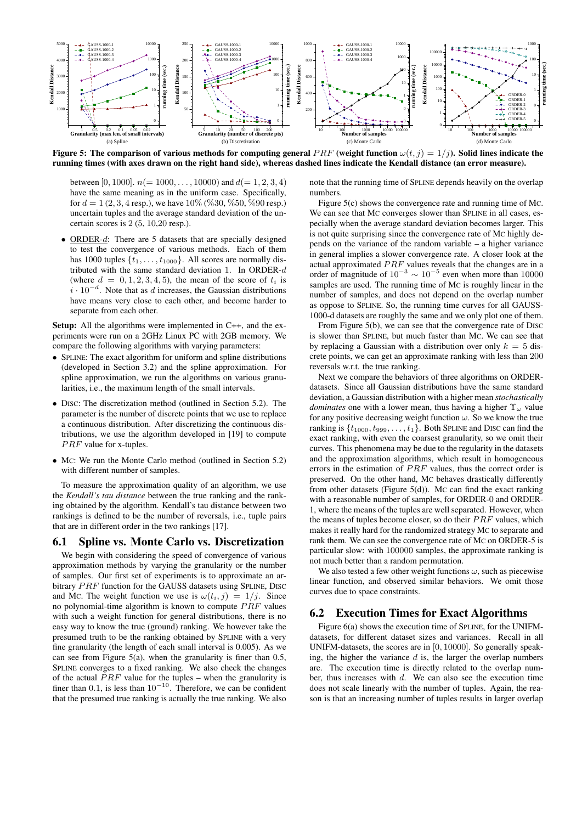

Figure 5: The comparison of various methods for computing general  $PRF$  (weight function  $\omega(t, j) = 1/j$ ). Solid lines indicate the running times (with axes drawn on the right hand side), whereas dashed lines indicate the Kendall distance (an error measure).

between [0, 1000].  $n (= 1000, \ldots, 10000)$  and  $d(= 1, 2, 3, 4)$ have the same meaning as in the uniform case. Specifically, for  $d = 1 (2, 3, 4$  resp.), we have  $10\%$  (%30, %50, %90 resp.) uncertain tuples and the average standard deviation of the uncertain scores is 2 (5, 10,20 resp.).

ORDER- $d$ : There are 5 datasets that are specially designed to test the convergence of various methods. Each of them has 1000 tuples  $\{t_1, \ldots, t_{1000}\}$ . All scores are normally distributed with the same standard deviation 1. In ORDER-d (where  $d = 0, 1, 2, 3, 4, 5$ ), the mean of the score of  $t_i$  is  $i \cdot 10^{-d}$ . Note that as d increases, the Gaussian distributions have means very close to each other, and become harder to separate from each other.

Setup: All the algorithms were implemented in C++, and the experiments were run on a 2GHz Linux PC with 2GB memory. We compare the following algorithms with varying parameters:

- SPLINE: The exact algorithm for uniform and spline distributions (developed in Section 3.2) and the spline approximation. For spline approximation, we run the algorithms on various granularities, i.e., the maximum length of the small intervals.
- DISC: The discretization method (outlined in Section 5.2). The parameter is the number of discrete points that we use to replace a continuous distribution. After discretizing the continuous distributions, we use the algorithm developed in [19] to compute  $PRF$  value for x-tuples.
- MC: We run the Monte Carlo method (outlined in Section 5.2) with different number of samples.

To measure the approximation quality of an algorithm, we use the *Kendall's tau distance* between the true ranking and the ranking obtained by the algorithm. Kendall's tau distance between two rankings is defined to be the number of reversals, i.e., tuple pairs that are in different order in the two rankings [17].

#### 6.1 Spline vs. Monte Carlo vs. Discretization

We begin with considering the speed of convergence of various approximation methods by varying the granularity or the number of samples. Our first set of experiments is to approximate an arbitrary PRF function for the GAUSS datasets using SPLINE, DISC and Mc. The weight function we use is  $\omega(t_i, j) = 1/j$ . Since no polynomial-time algorithm is known to compute  $PRF$  values with such a weight function for general distributions, there is no easy way to know the true (ground) ranking. We however take the presumed truth to be the ranking obtained by SPLINE with a very fine granularity (the length of each small interval is 0.005). As we can see from Figure 5(a), when the granularity is finer than 0.5, SPLINE converges to a fixed ranking. We also check the changes of the actual  $PRF$  value for the tuples – when the granularity is finer than 0.1, is less than  $10^{-10}$ . Therefore, we can be confident that the presumed true ranking is actually the true ranking. We also

note that the running time of SPLINE depends heavily on the overlap numbers.

Figure 5(c) shows the convergence rate and running time of MC. We can see that MC converges slower than SPLINE in all cases, especially when the average standard deviation becomes larger. This is not quite surprising since the convergence rate of MC highly depends on the variance of the random variable – a higher variance in general implies a slower convergence rate. A closer look at the actual approximated  $PRF$  values reveals that the changes are in a order of magnitude of  $10^{-3} \sim 10^{-5}$  even when more than 10000 samples are used. The running time of MC is roughly linear in the number of samples, and does not depend on the overlap number as oppose to SPLINE. So, the running time curves for all GAUSS-1000-d datasets are roughly the same and we only plot one of them.

From Figure 5(b), we can see that the convergence rate of DISC is slower than SPLINE, but much faster than MC. We can see that by replacing a Gaussian with a distribution over only  $k = 5$  discrete points, we can get an approximate ranking with less than 200 reversals w.r.t. the true ranking.

Next we compare the behaviors of three algorithms on ORDERdatasets. Since all Gaussian distributions have the same standard deviation, a Gaussian distribution with a higher mean *stochastically dominates* one with a lower mean, thus having a higher  $\Upsilon_{\omega}$  value for any positive decreasing weight function  $\omega$ . So we know the true ranking is  $\{t_{1000}, t_{999}, \ldots, t_1\}$ . Both SPLINE and DISC can find the exact ranking, with even the coarsest granularity, so we omit their curves. This phenomena may be due to the regularity in the datasets and the approximation algorithms, which result in homogeneous errors in the estimation of  $PRF$  values, thus the correct order is preserved. On the other hand, MC behaves drastically differently from other datasets (Figure 5(d)). MC can find the exact ranking with a reasonable number of samples, for ORDER-0 and ORDER-1, where the means of the tuples are well separated. However, when the means of tuples become closer, so do their  $PRF$  values, which makes it really hard for the randomized strategy MC to separate and rank them. We can see the convergence rate of MC on ORDER-5 is particular slow: with 100000 samples, the approximate ranking is not much better than a random permutation.

We also tested a few other weight functions  $\omega$ , such as piecewise linear function, and observed similar behaviors. We omit those curves due to space constraints.

# 6.2 Execution Times for Exact Algorithms

Figure 6(a) shows the execution time of SPLINE, for the UNIFMdatasets, for different dataset sizes and variances. Recall in all UNIFM-datasets, the scores are in [0, 10000]. So generally speaking, the higher the variance  $d$  is, the larger the overlap numbers are. The execution time is directly related to the overlap number, thus increases with  $d$ . We can also see the execution time does not scale linearly with the number of tuples. Again, the reason is that an increasing number of tuples results in larger overlap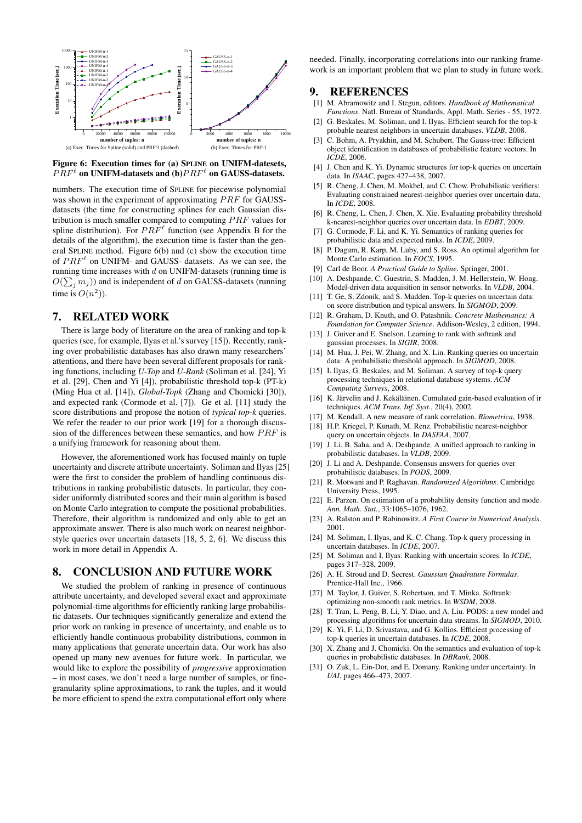



numbers. The execution time of SPLINE for piecewise polynomial was shown in the experiment of approximating  $PRF$  for GAUSSdatasets (the time for constructing splines for each Gaussian distribution is much smaller compared to computing  $PRF$  values for spline distribution). For  $PRF^{\ell}$  function (see Appendix B for the details of the algorithm), the execution time is faster than the general SPLINE method. Figure 6(b) and (c) show the execution time of  $PRF^{\ell}$  on UNIFM- and GAUSS- datasets. As we can see, the running time increases with  $d$  on UNIFM-datasets (running time is  $O(\sum_j m_j)$ ) and is independent of d on GAUSS-datasets (running time is  $O(n^2)$ ).

# 7. RELATED WORK

There is large body of literature on the area of ranking and top-k queries (see, for example, Ilyas et al.'s survey [15]). Recently, ranking over probabilistic databases has also drawn many researchers' attentions, and there have been several different proposals for ranking functions, including *U-Top* and *U-Rank* (Soliman et al. [24], Yi et al. [29], Chen and Yi [4]), probabilistic threshold top-k (PT-k) (Ming Hua et al. [14]), *Global-Topk* (Zhang and Chomicki [30]), and expected rank (Cormode et al. [7]). Ge et al. [11] study the score distributions and propose the notion of *typical top-k* queries. We refer the reader to our prior work [19] for a thorough discussion of the differences between these semantics, and how  $PRF$  is a unifying framework for reasoning about them.

However, the aforementioned work has focused mainly on tuple uncertainty and discrete attribute uncertainty. Soliman and Ilyas [25] were the first to consider the problem of handling continuous distributions in ranking probabilistic datasets. In particular, they consider uniformly distributed scores and their main algorithm is based on Monte Carlo integration to compute the positional probabilities. Therefore, their algorithm is randomized and only able to get an approximate answer. There is also much work on nearest neighborstyle queries over uncertain datasets [18, 5, 2, 6]. We discuss this work in more detail in Appendix A.

# 8. CONCLUSION AND FUTURE WORK

We studied the problem of ranking in presence of continuous attribute uncertainty, and developed several exact and approximate polynomial-time algorithms for efficiently ranking large probabilistic datasets. Our techniques significantly generalize and extend the prior work on ranking in presence of uncertainty, and enable us to efficiently handle continuous probability distributions, common in many applications that generate uncertain data. Our work has also opened up many new avenues for future work. In particular, we would like to explore the possibility of *progressive* approximation – in most cases, we don't need a large number of samples, or finegranularity spline approximations, to rank the tuples, and it would be more efficient to spend the extra computational effort only where

needed. Finally, incorporating correlations into our ranking framework is an important problem that we plan to study in future work.

# 9. REFERENCES

- [1] M. Abramowitz and I. Stegun, editors. *Handbook of Mathematical Functions*. Natl. Bureau of Standards, Appl. Math. Series - 55, 1972.
- [2] G. Beskales, M. Soliman, and I. IIyas. Efficient search for the top-k probable nearest neighbors in uncertain databases. *VLDB*, 2008.
- [3] C. Bohm, A. Pryakhin, and M. Schubert. The Gauss-tree: Efficient object identification in databases of probabilistic feature vectors. In *ICDE*, 2006.
- [4] J. Chen and K. Yi. Dynamic structures for top-k queries on uncertain data. In *ISAAC*, pages 427–438, 2007.
- [5] R. Cheng, J. Chen, M. Mokbel, and C. Chow. Probabilistic verifiers: Evaluating constrained nearest-neighbor queries over uncertain data. In *ICDE*, 2008.
- [6] R. Cheng, L. Chen, J. Chen, X. Xie. Evaluating probability threshold k-nearest-neighbor queries over uncertain data. In *EDBT*, 2009.
- [7] G. Cormode, F. Li, and K. Yi. Semantics of ranking queries for probabilistic data and expected ranks. In *ICDE*, 2009.
- [8] P. Dagum, R. Karp, M. Luby, and S. Ross. An optimal algorithm for Monte Carlo estimation. In *FOCS*, 1995.
- [9] Carl de Boor. *A Practical Guide to Spline*. Springer, 2001.
- [10] A. Deshpande, C. Guestrin, S. Madden, J. M. Hellerstein, W. Hong. Model-driven data acquisition in sensor networks. In *VLDB*, 2004.
- [11] T. Ge, S. Zdonik, and S. Madden. Top-k queries on uncertain data: on score distribution and typical answers. In *SIGMOD*, 2009.
- [12] R. Graham, D. Knuth, and O. Patashnik. *Concrete Mathematics: A Foundation for Computer Science*. Addison-Wesley, 2 edition, 1994.
- [13] J. Guiver and E. Snelson. Learning to rank with softrank and gaussian processes. In *SIGIR*, 2008.
- [14] M. Hua, J. Pei, W. Zhang, and X. Lin. Ranking queries on uncertain data: A probabilistic threshold approach. In *SIGMOD*, 2008.
- [15] I. Ilyas, G. Beskales, and M. Soliman. A survey of top-k query processing techniques in relational database systems. *ACM Computing Surveys*, 2008.
- [16] K. Järvelin and J. Kekäläinen. Cumulated gain-based evaluation of ir techniques. *ACM Trans. Inf. Syst.*, 20(4), 2002.
- [17] M. Kendall. A new measure of rank correlation. *Biometrica*, 1938.
- [18] H.P. Kriegel, P. Kunath, M. Renz. Probabilistic nearest-neighbor query on uncertain objects. In *DASFAA*, 2007.
- [19] J. Li, B. Saha, and A. Deshpande. A unified approach to ranking in probabilistic databases. In *VLDB*, 2009.
- [20] J. Li and A. Deshpande. Consensus answers for queries over probabilistic databases. In *PODS*, 2009.
- [21] R. Motwani and P. Raghavan. *Randomized Algorithms*. Cambridge University Press, 1995.
- [22] E. Parzen. On estimation of a probability density function and mode. *Ann. Math. Stat.*, 33:1065–1076, 1962.
- [23] A. Ralston and P. Rabinowitz. *A First Course in Numerical Analysis*. 2001.
- [24] M. Soliman, I. Ilyas, and K. C. Chang. Top-k query processing in uncertain databases. In *ICDE*, 2007.
- [25] M. Soliman and I. Ilyas. Ranking with uncertain scores. In *ICDE*, pages 317–328, 2009.
- [26] A. H. Stroud and D. Secrest. *Gaussian Quadrature Formulas*. Prentice-Hall Inc., 1966.
- [27] M. Taylor, J. Guiver, S. Robertson, and T. Minka. Softrank: optimizing non-smooth rank metrics. In *WSDM*, 2008.
- [28] T. Tran, L. Peng, B. Li, Y. Diao, and A. Liu. PODS: a new model and processing algorithms for uncertain data streams. In *SIGMOD*, 2010.
- [29] K. Yi, F. Li, D. Srivastava, and G. Kollios. Efficient processing of top-k queries in uncertain databases. In *ICDE*, 2008.
- [30] X. Zhang and J. Chomicki. On the semantics and evaluation of top-k queries in probabilistic databases. In *DBRank*, 2008.
- [31] O. Zuk, L. Ein-Dor, and E. Domany. Ranking under uncertainty. In *UAI*, pages 466–473, 2007.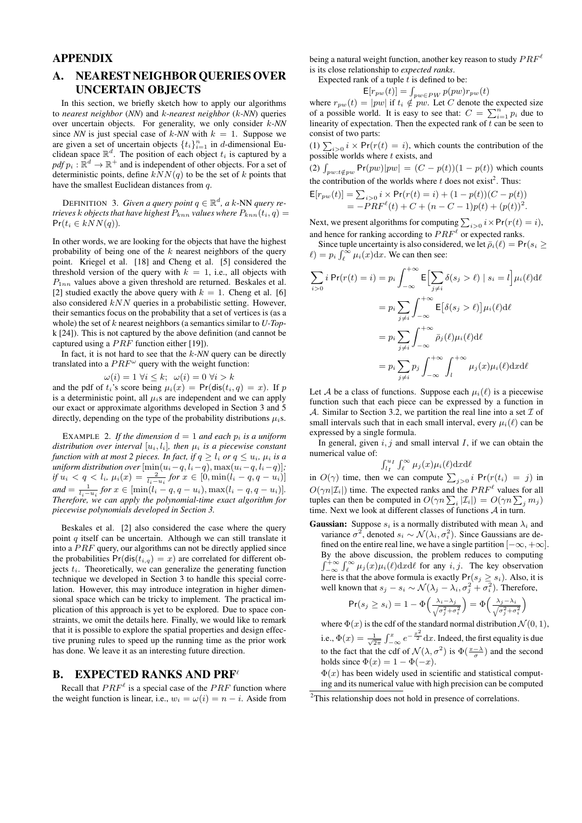# APPENDIX

# A. NEAREST NEIGHBOR QUERIES OVER UNCERTAIN OBJECTS

In this section, we briefly sketch how to apply our algorithms to *nearest neighbor* (*NN*) and k*-nearest neighbor* (k*-NN*) queries over uncertain objects. For generality, we only consider k*-NN* since *NN* is just special case of  $k$ -*NN* with  $k = 1$ . Suppose we are given a set of uncertain objects  $\{t_i\}_{i=1}^n$  in d-dimensional Euclidean space  $\mathbb{R}^d$ . The position of each object  $t_i$  is captured by a  $pdf p_i : \mathbb{R}^d \to \mathbb{R}^+$  and is independent of other objects. For a set of deterministic points, define  $kNN(q)$  to be the set of k points that have the smallest Euclidean distances from q.

DEFINITION 3. *Given a query point*  $q \in \mathbb{R}^d$ , a k-NN *query retrieves* k *objects that have highest*  $P_{knn}$  *values where*  $P_{knn}(t_i, q) =$  $Pr(t_i \in kNN(q)).$ 

In other words, we are looking for the objects that have the highest probability of being one of the  $k$  nearest neighbors of the query point. Kriegel et al. [18] and Cheng et al. [5] considered the threshold version of the query with  $k = 1$ , i.e., all objects with  $P_{1nn}$  values above a given threshold are returned. Beskales et al. [2] studied exactly the above query with  $k = 1$ . Cheng et al. [6] also considered  $kNN$  queries in a probabilistic setting. However, their semantics focus on the probability that a set of vertices is (as a whole) the set of k nearest neighbors (a semantics similar to *U-Top*k [24]). This is not captured by the above definition (and cannot be captured using a  $PRF$  function either [19]).

In fact, it is not hard to see that the k*-NN* query can be directly translated into a  $PRF^{\omega}$  query with the weight function:

$$
\omega(i) = 1 \,\forall i \leq k; \ \omega(i) = 0 \,\forall i > k
$$

and the pdf of  $t_i$ 's score being  $\mu_i(x) = \Pr(\text{dis}(t_i, q) = x)$ . If p is a deterministic point, all  $\mu_i$ s are independent and we can apply our exact or approximate algorithms developed in Section 3 and 5 directly, depending on the type of the probability distributions  $\mu_i$ s.

EXAMPLE 2. If the dimension  $d = 1$  and each  $p_i$  is a uniform *distribution over interval*  $[u_i, l_i]$ *, then*  $\mu_i$  *is a piecewise constant function with at most 2 pieces. In fact, if*  $q \geq l_i$  *or*  $q \leq u_i$ *,*  $\mu_i$  *is a uniform distribution over*  $[\min(u_i-q, l_i-q), \max(u_i-q, l_i-q)]$ ; *if*  $u_i < q < l_i$ ,  $\mu_i(x) = \frac{2}{l_i - u_i}$  *for*  $x \in [0, \min(l_i - q, q - u_i)]$  $and = \frac{1}{l_i - u_i}$  *for*  $x \in [\min(l_i - q, q - u_i), \max(l_i - q, q - u_i)].$ *Therefore, we can apply the polynomial-time exact algorithm for piecewise polynomials developed in Section 3.*

Beskales et al. [2] also considered the case where the query point  $q$  itself can be uncertain. Although we can still translate it into a  $PRF$  query, our algorithms can not be directly applied since the probabilities  $Pr(dis(t_{i,q}) = x)$  are correlated for different objects  $t_i$ . Theoretically, we can generalize the generating function technique we developed in Section 3 to handle this special correlation. However, this may introduce integration in higher dimensional space which can be tricky to implement. The practical implication of this approach is yet to be explored. Due to space constraints, we omit the details here. Finally, we would like to remark that it is possible to explore the spatial properties and design effective pruning rules to speed up the running time as the prior work has done. We leave it as an interesting future direction.

#### **B.** EXPECTED RANKS AND PRF

Recall that  $PRF^{\ell}$  is a special case of the  $PRF$  function where the weight function is linear, i.e.,  $w_i = \omega(i) = n - i$ . Aside from

being a natural weight function, another key reason to study  $PRF^{\ell}$ is its close relationship to *expected ranks*.

Expected rank of a tuple  $t$  is defined to be:

$$
\mathsf{E}[r_{pw}(t)] = \int_{pw \in PW} p(pw)r_{pw}(t)
$$

where  $r_{pw}(t) = |pw|$  if  $t_i \notin pw$ . Let C denote the expected size of a possible world. It is easy to see that:  $C = \sum_{i=1}^{n} p_i$  due to linearity of expectation. Then the expected rank of  $\overline{t}$  can be seen to consist of two parts:

(1)  $\sum_{i>0} i \times Pr(r(t) = i)$ , which counts the contribution of the possible worlds where  $t$  exists, and

(2)  $\int_{pw:t\notin pw}$  Pr $(pw)|pw| = (C - p(t))(1 - p(t))$  which counts the contribution of the worlds where  $t$  does not exist<sup>2</sup>. Thus:

$$
\mathsf{E}[r_{pw}(t)] = \sum_{i>0} i \times \Pr(r(t) = i) + (1 - p(t))(C - p(t))
$$
  
=  $-PRF^{\ell}(t) + C + (n - C - 1)p(t) + (p(t))^2$ .

Next, we present algorithms for computing  $\sum_{i>0} i \times Pr(r(t) = i)$ , and hence for ranking according to  $PRF^{\ell}$  or expected ranks.

Since tuple uncertainty is also considered, we let  $\bar{\rho}_i(\ell) = \Pr(s_i \geq 1)$  $\ell$ ) =  $p_i \int_{\ell}^{\infty} \mu_i(x) dx$ . We can then see:

$$
\sum_{i>0} i \Pr(r(t) = i) = p_i \int_{-\infty}^{+\infty} \mathsf{E} \Big[ \sum_{j \neq i} \delta(s_j > \ell) \mid s_i = l \Big] \mu_i(\ell) \mathrm{d}\ell
$$
\n
$$
= p_i \sum_{j \neq i} \int_{-\infty}^{+\infty} \mathsf{E} \big[ \delta(s_j > \ell) \big] \mu_i(\ell) \mathrm{d}\ell
$$
\n
$$
= p_i \sum_{j \neq i} \int_{-\infty}^{+\infty} \bar{\rho}_j(\ell) \mu_i(\ell) \mathrm{d}\ell
$$
\n
$$
= p_i \sum_{j \neq i} p_j \int_{-\infty}^{+\infty} \int_{l}^{+\infty} \mu_j(x) \mu_i(\ell) \mathrm{d}x \mathrm{d}\ell
$$

Let A be a class of functions. Suppose each  $\mu_i(\ell)$  is a piecewise function such that each piece can be expressed by a function in A. Similar to Section 3.2, we partition the real line into a set  $\mathcal I$  of small intervals such that in each small interval, every  $\mu_i(\ell)$  can be expressed by a single formula.

In general, given  $i, j$  and small interval  $I$ , if we can obtain the numerical value of:

$$
\int_{l_I}^{u_I} \int_{\ell}^{\infty} \mu_j(x) \mu_i(\ell) \mathrm{d}x \mathrm{d}\ell
$$

in  $O(\gamma)$  time, then we can compute  $\sum_{j>0} i \Pr(r(t_i) = j)$  in  $O(\gamma n|\mathcal{I}_i|)$  time. The expected ranks and the  $PRF^{\ell}$  values for all tuples can then be computed in  $O(\gamma n \sum_i |\mathcal{I}_i|) = O(\gamma n \sum_j m_j)$ time. Next we look at different classes of functions  $A$  in turn.

**Gaussian:** Suppose  $s_i$  is a normally distributed with mean  $\lambda_i$  and variance  $\sigma^2$ , denoted  $s_i \sim \mathcal{N}(\lambda_i, \sigma_i^2)$ . Since Gaussians are defined on the entire real line, we have a single partition  $[-\infty, +\infty]$ . By the above discussion, the problem reduces to computing  $\int_{-\infty}^{+\infty} \int_{\ell}^{\infty} \mu_j(x) \mu_i(\ell) dx d\ell$  for any i, j. The key observation here is that the above formula is exactly  $Pr(s_j \geq s_i)$ . Also, it is well known that  $s_j - s_i \sim \mathcal{N}(\lambda_j - \lambda_i, \sigma_j^2 + \sigma_i^2)$ . Therefore,

$$
\Pr(s_j \ge s_i) = 1 - \Phi\left(\frac{\lambda_i - \lambda_j}{\sqrt{\sigma_j^2 + \sigma_i^2}}\right) = \Phi\left(\frac{\lambda_j - \lambda_i}{\sqrt{\sigma_j^2 + \sigma_i^2}}\right)
$$

where  $\Phi(x)$  is the cdf of the standard normal distribution  $\mathcal{N}(0, 1)$ , i.e.,  $\Phi(x) = \frac{1}{\sqrt{2\pi}} \int_{-\infty}^{x} e^{-\frac{x^2}{2}} dx$ . Indeed, the first equality is due to the fact that the cdf of  $\mathcal{N}(\lambda, \sigma^2)$  is  $\Phi\left(\frac{x-\lambda}{\sigma}\right)$  and the second holds since  $\Phi(x) = 1 - \Phi(-x)$ .

 $\Phi(x)$  has been widely used in scientific and statistical computing and its numerical value with high precision can be computed

<sup>&</sup>lt;sup>2</sup>This relationship does not hold in presence of correlations.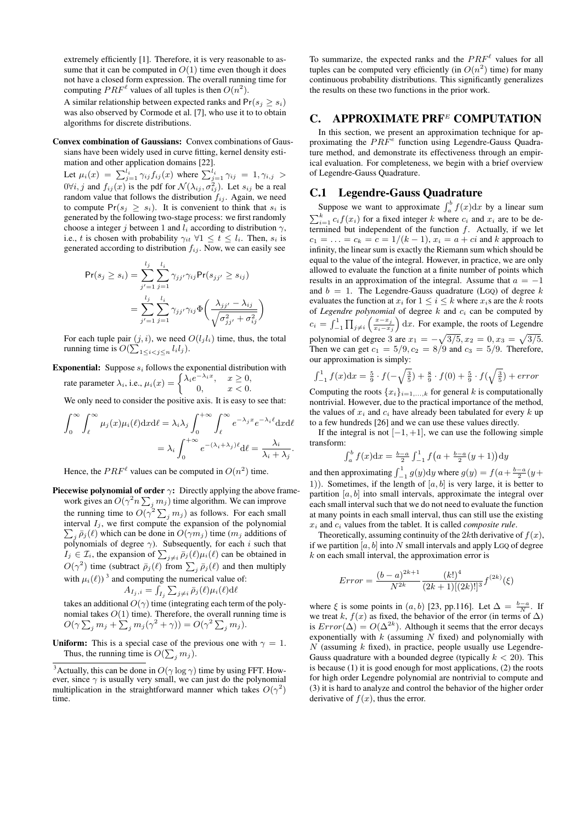extremely efficiently [1]. Therefore, it is very reasonable to assume that it can be computed in  $O(1)$  time even though it does not have a closed form expression. The overall running time for computing  $PRF^{\ell}$  values of all tuples is then  $O(n^2)$ .

A similar relationship between expected ranks and  $Pr(s_i \geq s_i)$ was also observed by Cormode et al. [7], who use it to to obtain algorithms for discrete distributions.

#### Convex combination of Gaussians: Convex combinations of Gaussians have been widely used in curve fitting, kernel density estimation and other application domains [22].

Let  $\mu_i(x) = \sum_{j=1}^{l_i} \gamma_{ij} f_{ij}(x)$  where  $\sum_{j=1}^{l_i} \gamma_{ij} = 1, \gamma_{i,j} >$  $0 \forall i, j$  and  $f_{ij}(x)$  is the pdf for  $\mathcal{N}(\lambda_{ij}, \sigma_{ij}^2)$ . Let  $s_{ij}$  be a real random value that follows the distribution  $f_{ij}$ . Again, we need to compute  $Pr(s_j \geq s_i)$ . It is convenient to think that  $s_i$  is generated by the following two-stage process: we first randomly choose a integer j between 1 and  $l_i$  according to distribution  $\gamma$ , i.e., t is chosen with probability  $\gamma_{it} \ \forall 1 \leq t \leq l_i$ . Then,  $s_i$  is generated according to distribution  $f_{ij}$ . Now, we can easily see

$$
\Pr(s_j \ge s_i) = \sum_{j'=1}^{l_j} \sum_{j=1}^{l_i} \gamma_{jj'} \gamma_{ij} \Pr(s_{jj'} \ge s_{ij})
$$
  
= 
$$
\sum_{j'=1}^{l_j} \sum_{j=1}^{l_i} \gamma_{jj'} \gamma_{ij} \Phi\left(\frac{\lambda_{jj'} - \lambda_{ij}}{\sqrt{\sigma_{jj'}^2 + \sigma_{ij}^2}}\right)
$$

For each tuple pair  $(j, i)$ , we need  $O(l_j l_i)$  time, thus, the total running time is  $O(\sum_{1 \le i < j \le n} l_i l_j)$ .

# **Exponential:** Suppose  $s_i$  follows the exponential distribution with

rate parameter  $\lambda_i$ , i.e.,  $\mu_i(x) = \begin{cases} \lambda_i e^{-\lambda_i x}, & x \geq 0, \\ 0 & x < 0. \end{cases}$ 0,  $x < 0$ .

We only need to consider the positive axis. It is easy to see that:

$$
\int_0^\infty \int_\ell^\infty \mu_j(x) \mu_i(\ell) dx d\ell = \lambda_i \lambda_j \int_0^{+\infty} \int_\ell^\infty e^{-\lambda_j x} e^{-\lambda_i \ell} dx d\ell
$$

$$
= \lambda_i \int_0^{+\infty} e^{-(\lambda_i + \lambda_j)\ell} d\ell = \frac{\lambda_i}{\lambda_i + \lambda_j}.
$$

Hence, the  $PRF^{\ell}$  values can be computed in  $O(n^2)$  time.

**Piecewise polynomial of order**  $\gamma$ **:** Directly applying the above framework gives an  $O(\gamma^2 n \sum_j m_j)$  time algorithm. We can improve the running time to  $O(\gamma^2 \sum_j m_j)$  as follows. For each small interval  $I_j$ , we first compute the expansion of the polynomial  $\sum_{i} \bar{p}_j(\ell)$  which can be done in  $O(\gamma m_j)$  time  $(m_j$  additions of  $\sum_j p_j(\tau)$  which can be done in  $\mathcal{O}(\tau m_j)$  differentially additions of polynomials of degree  $\gamma$ ). Subsequently, for each i such that  $I_j \in \mathcal{I}_i$ , the expansion of  $\sum_{j \neq i} \bar{\rho}_j(\ell) \mu_i(\ell)$  can be obtained in  $O(\gamma^2)$  time (subtract  $\bar{\rho}_j(\ell)$  from  $\sum_j \bar{\rho}_j(\ell)$  and then multiply with  $\mu_i(\ell)$ )<sup>3</sup> and computing the numerical value of:

$$
A_{I_j,i} = \int_{I_j} \sum_{j \neq i} \bar{p}_j(\ell) \mu_i(\ell) d\ell
$$

takes an additional  $O(\gamma)$  time (integrating each term of the polynomial takes  $O(1)$  time). Therefore, the overall running time is  $O(\gamma \sum_j m_j + \sum_j m_j(\gamma^2 + \gamma)) = O(\gamma^2 \sum_j m_j).$ 

**Uniform:** This is a special case of the previous one with  $\gamma = 1$ . Thus, the running time is  $O(\sum_j m_j)$ .

To summarize, the expected ranks and the  $PRF<sup>\ell</sup>$  values for all tuples can be computed very efficiently (in  $O(n^2)$  time) for many continuous probability distributions. This significantly generalizes the results on these two functions in the prior work.

# C. APPROXIMATE PRF<sup>E</sup> COMPUTATION

In this section, we present an approximation technique for approximating the  $PRF^e$  function using Legendre-Gauss Quadrature method, and demonstrate its effectiveness through an empirical evaluation. For completeness, we begin with a brief overview of Legendre-Gauss Quadrature.

# C.1 Legendre-Gauss Quadrature

Suppose we want to approximate  $\int_a^b f(x) dx$  by a linear sum  $\sum_{i=1}^{k} c_i f(x_i)$  for a fixed integer k where  $c_i$  and  $x_i$  are to be determined but independent of the function  $f$ . Actually, if we let  $c_1 = \ldots = c_k = c = 1/(k-1), x_i = a + ci$  and k approach to infinity, the linear sum is exactly the Riemann sum which should be equal to the value of the integral. However, in practice, we are only allowed to evaluate the function at a finite number of points which results in an approximation of the integral. Assume that  $a = -1$ and  $b = 1$ . The Legendre-Gauss quadrature (LGQ) of degree k evaluates the function at  $x_i$  for  $1 \leq i \leq k$  where  $x_i$ s are the k roots of *Legendre polynomial* of degree  $k$  and  $c_i$  can be computed by  $c_i = \int_{-1}^{1} \prod_{j \neq i} \left( \frac{x - x_j}{x_i - x_j} \right)$  $\left(\frac{x-x_j}{x_i-x_j}\right)$  dx. For example, the roots of Legendre polynomial of degree 3 are  $x_1 = -\sqrt{3/5}, x_2 = 0, x_3 = \sqrt{3/5}.$ Then we can get  $c_1 = 5/9, c_2 = 8/9$  and  $c_3 = 5/9$ . Therefore, our approximation is simply:

$$
\int_{-1}^{1} f(x) dx = \frac{5}{9} \cdot f(-\sqrt{\frac{3}{5}}) + \frac{8}{9} \cdot f(0) + \frac{5}{9} \cdot f(\sqrt{\frac{3}{5}}) + error
$$

Computing the roots  $\{x_i\}_{i=1,\ldots,k}$  for general k is computationally nontrivial. However, due to the practical importance of the method, the values of  $x_i$  and  $c_i$  have already been tabulated for every k up to a few hundreds [26] and we can use these values directly.

If the integral is not  $[-1, +1]$ , we can use the following simple transform:

$$
\int_a^b f(x) dx = \frac{b-a}{2} \int_{-1}^1 f(a + \frac{b-a}{2}(y+1)) dy
$$

and then approximating  $\int_{-1}^{1} g(y) dy$  where  $g(y) = f(a + \frac{b-a}{2}(y +$ 1)). Sometimes, if the length of  $[a, b]$  is very large, it is better to partition  $[a, b]$  into small intervals, approximate the integral over each small interval such that we do not need to evaluate the function at many points in each small interval, thus can still use the existing  $x_i$  and  $c_i$  values from the tablet. It is called *composite rule*.

Theoretically, assuming continuity of the 2kth derivative of  $f(x)$ , if we partition  $[a, b]$  into N small intervals and apply LGQ of degree  $k$  on each small interval, the approximation error is

$$
Error = \frac{(b-a)^{2k+1}}{N^{2k}} \frac{(k!)^4}{(2k+1)[(2k)!]^3} f^{(2k)}(\xi)
$$

where  $\xi$  is some points in  $(a, b)$  [23, pp.116]. Let  $\Delta = \frac{b-a}{N}$ . If we treat k,  $f(x)$  as fixed, the behavior of the error (in terms of  $\Delta$ ) is  $Error(\Delta) = O(\Delta^{2k})$ . Although it seems that the error decays exponentially with  $k$  (assuming  $N$  fixed) and polynomially with  $N$  (assuming  $k$  fixed), in practice, people usually use Legendre-Gauss quadrature with a bounded degree (typically  $k < 20$ ). This is because (1) it is good enough for most applications, (2) the roots for high order Legendre polynomial are nontrivial to compute and (3) it is hard to analyze and control the behavior of the higher order derivative of  $f(x)$ , thus the error.

<sup>&</sup>lt;sup>3</sup>Actually, this can be done in  $O(\gamma \log \gamma)$  time by using FFT. However, since  $\gamma$  is usually very small, we can just do the polynomial multiplication in the straightforward manner which takes  $O(\gamma^2)$ time.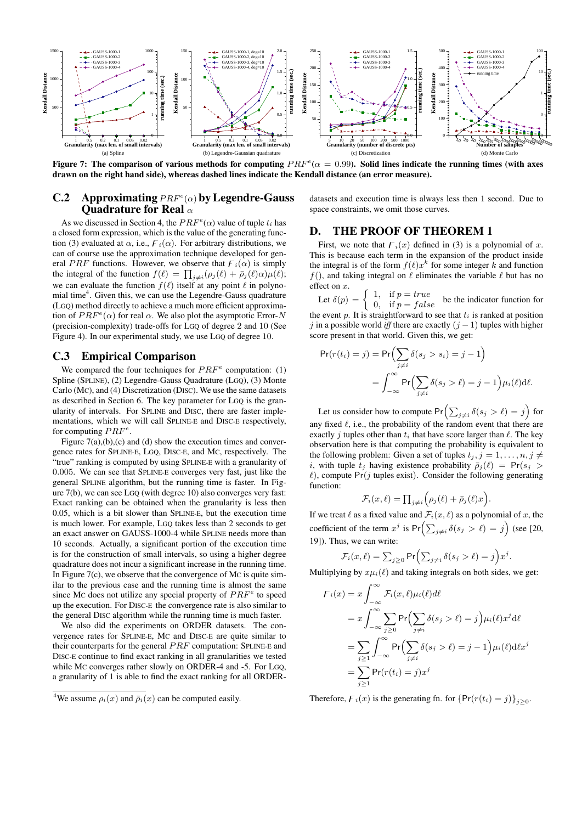

Figure 7: The comparison of various methods for computing  $PRF^e(\alpha = 0.99)$ . Solid lines indicate the running times (with axes drawn on the right hand side), whereas dashed lines indicate the Kendall distance (an error measure).

# **C.2** Approximating  $PRF^e(\alpha)$  by Legendre-Gauss Quadrature for Real  $\alpha$

As we discussed in Section 4, the  $PRF^e(\alpha)$  value of tuple  $t_i$  has a closed form expression, which is the value of the generating function (3) evaluated at  $\alpha$ , i.e.,  $F_i(\alpha)$ . For arbitrary distributions, we can of course use the approximation technique developed for general PRF functions. However, we observe that  $F_i(\alpha)$  is simply the integral of the function  $f(\ell) = \prod_{j \neq i} (\rho_j(\ell) + \bar{\rho}_j(\ell) \alpha) \mu(\ell);$ we can evaluate the function  $f(\ell)$  itself at any point  $\ell$  in polynomial time<sup>4</sup>. Given this, we can use the Legendre-Gauss quadrature (LGQ) method directly to achieve a much more efficient approximation of  $PRF^{e}(\alpha)$  for real  $\alpha$ . We also plot the asymptotic Error-N (precision-complexity) trade-offs for LGQ of degree 2 and 10 (See Figure 4). In our experimental study, we use LGQ of degree 10.

## C.3 Empirical Comparison

We compared the four techniques for  $PRF^e$  computation: (1) Spline (SPLINE), (2) Legendre-Gauss Quadrature (LGQ), (3) Monte Carlo (MC), and (4) Discretization (DISC). We use the same datasets as described in Section 6. The key parameter for LGQ is the granularity of intervals. For SPLINE and DISC, there are faster implementations, which we will call SPLINE-E and DISC-E respectively, for computing  $PRF^e$ .

Figure  $7(a)$ , (b), (c) and (d) show the execution times and convergence rates for SPLINE-E, LGQ, DISC-E, and MC, respectively. The "true" ranking is computed by using SPLINE-E with a granularity of 0.005. We can see that SPLINE-E converges very fast, just like the general SPLINE algorithm, but the running time is faster. In Figure 7(b), we can see LGQ (with degree 10) also converges very fast: Exact ranking can be obtained when the granularity is less then 0.05, which is a bit slower than SPLINE-E, but the execution time is much lower. For example, LGQ takes less than 2 seconds to get an exact answer on GAUSS-1000-4 while SPLINE needs more than 10 seconds. Actually, a significant portion of the execution time is for the construction of small intervals, so using a higher degree quadrature does not incur a significant increase in the running time. In Figure  $7(c)$ , we observe that the convergence of Mc is quite similar to the previous case and the running time is almost the same since Mc does not utilize any special property of  $PRF^e$  to speed up the execution. For DISC-E the convergence rate is also similar to the general DISC algorithm while the running time is much faster.

We also did the experiments on ORDER datasets. The convergence rates for SPLINE-E, MC and DISC-E are quite similar to their counterparts for the general  $PRF$  computation: SPLINE-E and DISC-E continue to find exact ranking in all granularities we tested while MC converges rather slowly on ORDER-4 and -5. For LGQ, a granularity of 1 is able to find the exact ranking for all ORDER-

datasets and execution time is always less then 1 second. Due to space constraints, we omit those curves.

# D. THE PROOF OF THEOREM 1

First, we note that  $f(x)$  defined in (3) is a polynomial of x. This is because each term in the expansion of the product inside the integral is of the form  $f(\ell)x^k$  for some integer k and function  $f($ ), and taking integral on  $\ell$  eliminates the variable  $\ell$  but has no effect on x.

Let  $\delta(p) =$ 1, if  $p = true$ <br>0, if  $p = false$  be the indicator function for the event p. It is straightforward to see that  $t_i$  is ranked at position j in a possible world *iff* there are exactly  $(j - 1)$  tuples with higher score present in that world. Given this, we get:

$$
\Pr(r(t_i) = j) = \Pr\Bigl(\sum_{j \neq i} \delta(s_j > s_i) = j - 1\Bigr)
$$
\n
$$
= \int_{-\infty}^{\infty} \Pr\Bigl(\sum_{j \neq i} \delta(s_j > \ell) = j - 1\Bigr) \mu_i(\ell) \, d\ell.
$$

Let us consider how to compute  $Pr\left(\sum_{j\neq i}\delta(s_j > \ell) = j\right)$  for any fixed  $\ell$ , i.e., the probability of the random event that there are exactly *j* tuples other than  $t_i$  that have score larger than  $\ell$ . The key observation here is that computing the probability is equivalent to the following problem: Given a set of tuples  $t_j$ ,  $j = 1, \ldots, n, j \neq j$ i, with tuple  $t_i$  having existence probability  $\bar{\rho}_i(\ell) = Pr(s_i >$  $\ell$ ), compute Pr(j tuples exist). Consider the following generating function:

$$
\mathcal{F}_i(x,\ell) = \prod_{j \neq i} \Big( \rho_j(\ell) + \bar{\rho}_j(\ell)x \Big).
$$

If we treat  $\ell$  as a fixed value and  $\mathcal{F}_i(x, \ell)$  as a polynomial of x, the coefficient of the term  $x^j$  is  $Pr\left(\sum_{j\neq i} \delta(s_j > \ell) = j\right)$  (see [20, 19]). Thus, we can write:

$$
\mathcal{F}_i(x,\ell) = \sum_{j\geq 0} \Pr\Biggl(\sum_{j\neq i} \delta(s_j > \ell) = j\Biggr)x^j.
$$

Multiplying by  $x\mu_i(\ell)$  and taking integrals on both sides, we get:

$$
F_i(x) = x \int_{-\infty}^{\infty} \mathcal{F}_i(x, \ell) \mu_i(\ell) d\ell
$$
  
=  $x \int_{-\infty}^{\infty} \sum_{j \ge 0} \Pr \Bigl( \sum_{j \ne i} \delta(s_j > \ell) = j \Bigr) \mu_i(\ell) x^j d\ell$   
=  $\sum_{j \ge 1} \int_{-\infty}^{\infty} \Pr \Bigl( \sum_{j \ne i} \delta(s_j > \ell) = j - 1 \Bigr) \mu_i(\ell) d\ell x^j$   
=  $\sum_{j \ge 1} \Pr(r(t_i) = j) x^j$ 

Therefore,  $F_i(x)$  is the generating fn. for  $\{Pr(r(t_i) = j)\}_{j \geq 0}$ .

<sup>&</sup>lt;sup>4</sup>We assume  $\rho_i(x)$  and  $\bar{\rho}_i(x)$  can be computed easily.